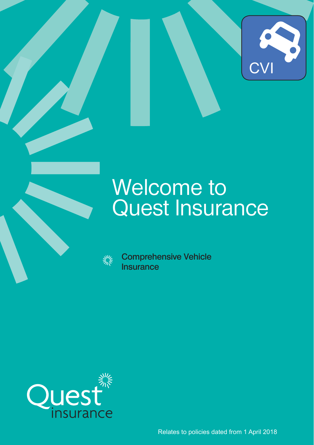

# Welcome to Quest Insurance

**Comprehensive Vehicle Insurance**



Relates to policies dated from 1 April 2018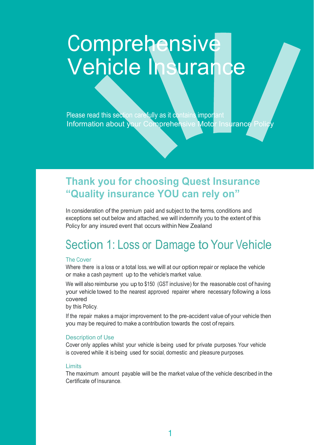# **Comprehensive** Vehicle Insurance

Please read this section carefully as it contains important Information about your Comprehensive Motor Insurance Policy

### **Thank you for choosing Quest Insurance "Quality insurance YOU can rely on"**

In consideration of the premium paid and subject to the terms, conditions and exceptions set out below and attached, we will indemnify you to the extent of this Policy for any insured event that occurs within New Zealand

# Section 1: Loss or Damage to Your Vehicle

#### The Cover

Where there is a loss or a total loss, we will at our option repair or replace the vehicle or make a cash payment up to the vehicle's market value.

We will also reimburse you up to \$150 (GST inclusive) for the reasonable cost of having your vehicle towed to the nearest approved repairer where necessary following a loss covered

by this Policy.

If the repair makes a major improvement to the pre-accident value of your vehicle then you may be required to make a contribution towards the cost of repairs.

#### Description of Use

Cover only applies whilst your vehicle is being used for private purposes. Your vehicle is covered while it is being used for social, domestic and pleasure purposes.

#### Limits

The maximum amount payable will be the market value of the vehicle described in the Certificate of Insurance.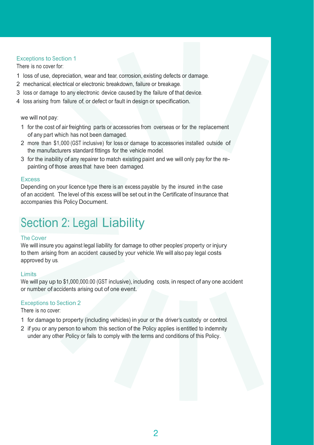#### Exceptions to Section 1

There is no cover for:

- 1 loss of use, depreciation, wear and tear, corrosion, existing defects or damage.
- 2 mechanical, electrical or electronic breakdown, failure or breakage.
- 3 loss or damage to any electronic device caused by the failure of that device.
- 4 loss arising from failure of, or defect or fault in design or specification.

we will not pay:

- 1 for the cost of air freighting parts or accessories from overseas or for the replacement of any part which has not been damaged.
- 2 more than \$1,000 (GST inclusive) for loss or damage to accessories installed outside of the manufacturers standard fittings for the vehicle model.
- 3 for the inability of any repairer to match existing paint and we will only pay for the repainting of those areas that have been damaged.

#### Excess

Depending on your licence type there is an excess payable by the insured in the case of an accident. The level of this excess will be set out in the Certificate of Insurance that accompanies this Policy Document.

## Section 2: Legal Liability

#### The Cover

We will insure you against legal liability for damage to other peoples' property or injury to them arising from an accident caused by your vehicle. We will also pay legal costs approved by us.

#### Limits

We will pay up to \$1,000,000.00 (GST inclusive), including costs, in respect of any one accident or number of accidents arising out of one event.

#### Exceptions to Section 2

There is no cover:

- 1 for damage to property (including vehicles) in your or the driver's custody or control.
- 2 if you or any person to whom this section of the Policy applies is entitled to indemnity under any other Policy or fails to comply with the terms and conditions of this Policy.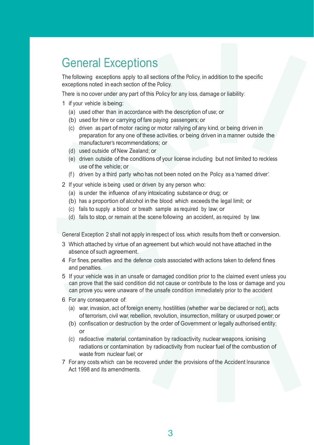### General Exceptions

The following exceptions apply to all sections of the Policy, in addition to the specific exceptions noted in each section of the Policy.

There is no cover under any part of this Policy for any loss, damage or liability:

- 1 if your vehicle is being:
	- (a) used other than in accordance with the description of use; or
	- (b) used for hire or carrying of fare paying passengers; or
	- (c) driven as part of motor racing or motor rallying of any kind, or being driven in preparation for any one of these activities, or being driven in a manner outside the manufacturer's recommendations; or
	- (d) used outside of New Zealand; or
	- (e) driven outside of the conditions of your license including but not limited to reckless use of the vehicle; or
	- (f) driven by a third party who has not been noted on the Policy as a 'named driver'.
- 2 If your vehicle is being used or driven by any person who:
	- (a) is under the influence of any intoxicating substance or drug; or
	- (b) has a proportion of alcohol in the blood which exceeds the legal limit; or
	- (c) fails to supply a blood or breath sample as required by law; or
	- (d) fails to stop, or remain at the scene following an accident, as required by law.

General Exception 2 shall not apply in respect of loss, which results from theft or conversion.

- 3 Which attached by virtue of an agreement but which would not have attached in the absence of such agreement.
- 4 For fines, penalties and the defence costs associated with actions taken to defend fines and penalties.
- 5 If your vehicle was in an unsafe or damaged condition prior to the claimed event unless you can prove that the said condition did not cause or contribute to the loss or damage and you can prove you were unaware of the unsafe condition immediately prior to the accident
- 6 For any consequence of:
	- (a) war, invasion, act of foreign enemy, hostilities (whether war be declared or not), acts of terrorism, civil war, rebellion, revolution, insurrection, military or usurped power; or
	- (b) confiscation or destruction by the order of Government or legally authorised entity; or
	- (c) radioactive material, contamination by radioactivity, nuclear weapons, ionising radiations or contamination by radioactivity from nuclear fuel of the combustion of waste from nuclear fuel; or
- 7 For any costs which can be recovered under the provisions of the Accident Insurance Act 1998 and its amendments.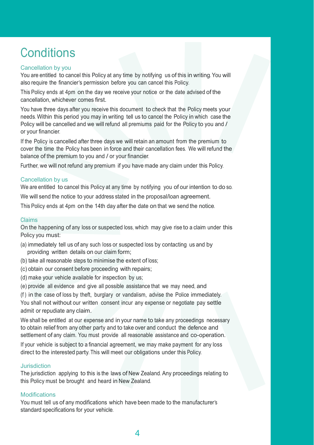# **Conditions**

#### Cancellation by you

You are entitled to cancel this Policy at any time by notifying us of this in writing. You will also require the financier's permission before you can cancel this Policy.

This Policy ends at 4pm on the day we receive your notice or the date advised of the cancellation, whichever comes first.

You have three days after you receive this document to check that the Policy meets your needs. Within this period you may in writing tell us to cancel the Policy in which case the Policy will be cancelled and we will refund all premiums paid for the Policy to you and / or your financier.

If the Policy is cancelled after three days we will retain an amount from the premium to cover the time the Policy has been in force and their cancellation fees. We will refund the balance of the premium to you and / or your financier.

Further, we will not refund any premium if you have made any claim under this Policy.

#### Cancellation by us

We are entitled to cancel this Policy at any time by notifying you of our intention to do so.

We will send the notice to your address stated in the proposal/loan agreement.

This Policy ends at 4pm on the 14th day after the date on that we send the notice.

#### Claims

On the happening of any loss or suspected loss, which may give rise to a claim under this Policy you must:

- (a) immediately tell us of any such loss or suspected loss by contacting us and by providing written details on our claim form;
- (b) take all reasonable steps to minimise the extent of loss;
- (c) obtain our consent before proceeding with repairs;
- (d) make your vehicle available for inspection by us;
- (e) provide all evidence and give all possible assistance that we may need, and

(f ) in the case of loss by theft, burglary or vandalism, advise the Police immediately. You shall not without our written consent incur any expense or negotiate pay settle admit or repudiate any claim.

We shall be entitled at our expense and in your name to take any proceedings necessary to obtain relief from any other party and to take over and conduct the defence and settlement of any claim. You must provide all reasonable assistance and co-operation.

If your vehicle is subject to a financial agreement, we may make payment for any loss direct to the interested party. This will meet our obligations under this Policy.

#### Jurisdiction

The jurisdiction applying to this is the laws of New Zealand. Any proceedings relating to this Policy must be brought and heard in New Zealand.

#### Modifications

You must tell us of any modifications which have been made to the manufacturer's standard specifications for your vehicle.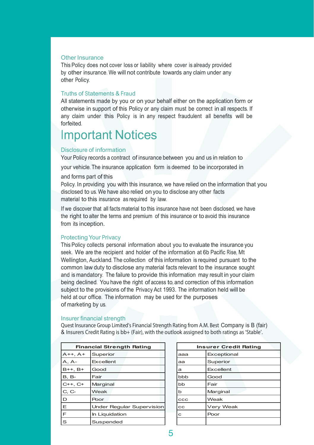#### Other Insurance

This Policy does not cover loss or liability where cover is already provided by other insurance. We will not contribute towards any claim under any other Policy.

#### Truths of Statements & Fraud

All statements made by you or on your behalf either on the application form or otherwise in support of this Policy or any claim must be correct in all respects. If any claim under this Policy is in any respect fraudulent all benefits will be forfeited.

### Important Notices

#### Disclosure of information

Your Policy records a contract of insurance between you and us in relation to

your vehicle. The insurance application form is deemed to be incorporated in

#### and forms part of this

Policy. In providing you with this insurance, we have relied on the information that you disclosed to us. We have also relied on you to disclose any other facts material to this insurance as required by law.

If we discover that all facts material to this insurance have not been disclosed, we have the right to alter the terms and premium of this insurance or to avoid this insurance from its inception.

#### Protecting Your Privacy

This Policy collects personal information about you to evaluate the insurance you seek. We are the recipient and holder of the information at 6b Pacific Rise, Mt Wellington, Auckland. The collection of this information is required pursuant to the common law duty to disclose any material facts relevant to the insurance sought and is mandatory. The failure to provide this information may result in your claim being declined. You have the right of access to, and correction of this information subject to the provisions of the Privacy Act 1993. The information held will be held at our office. The information may be used for the purposes of marketing by us.

#### Insurer financial strength

Quest Insurance Group Limited's Financial Strength Rating from A.M. Best Company is B (fair) & Insurers Credit Rating is bb+ (Fair), with the outlook assigned to both ratings as 'Stable'.

| <b>Financial Strength Rating</b> |                           |  |     | <b>Insurer Credit Rating</b> |
|----------------------------------|---------------------------|--|-----|------------------------------|
| $A++, A+$                        | Superior                  |  | ааа | Exceptional                  |
| A. A-                            | Excellent                 |  | aa  | Superior                     |
| $B++. B+$                        | Good                      |  | a   | Excellent                    |
| <b>B.</b> B-                     | Fair                      |  | bbb | Good                         |
| $C_{++}$ , $C_{+}$               | Marginal                  |  | bb  | Fair                         |
| C, C                             | Weak                      |  | b   | Marginal                     |
| D                                | Poor                      |  | CCC | Weak                         |
| Ε                                | Under Regular Supervision |  | cс  | Very Weak                    |
| F                                | In Liquidation            |  | с   | Poor                         |
| S                                | Suspended                 |  |     |                              |

| <b>Insurer Credit Rating</b> |             |  |  |  |
|------------------------------|-------------|--|--|--|
| aaa                          | Exceptional |  |  |  |
| aa                           | Superior    |  |  |  |
| a                            | Excellent   |  |  |  |
| bbb                          | Good        |  |  |  |
| bb                           | Fair        |  |  |  |
| $\mathbf b$                  | Marginal    |  |  |  |
| CCC                          | Weak        |  |  |  |
| $_{\rm cc}$                  | Very Weak   |  |  |  |
| $\mathbf{C}$                 | Poor        |  |  |  |
|                              |             |  |  |  |